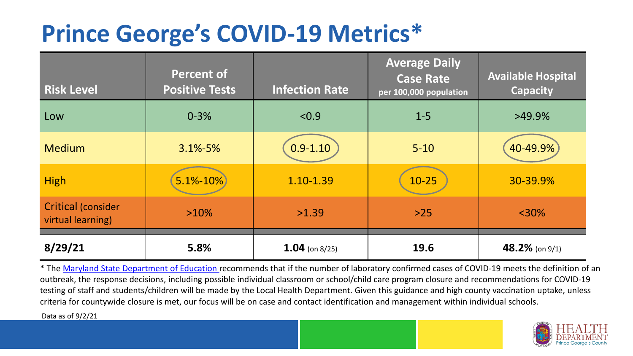## **Prince George's COVID-19 Metrics\***

| <b>Risk Level</b>                              | <b>Percent of</b><br><b>Positive Tests</b> | <b>Infection Rate</b> | <b>Average Daily</b><br><b>Case Rate</b><br>per 100,000 population | <b>Available Hospital</b><br><b>Capacity</b> |
|------------------------------------------------|--------------------------------------------|-----------------------|--------------------------------------------------------------------|----------------------------------------------|
| Low                                            | $0 - 3%$                                   | < 0.9                 | $1 - 5$                                                            | $>49.9\%$                                    |
| <b>Medium</b>                                  | $3.1\% - 5\%$                              | $0.9 - 1.10$          | $5 - 10$                                                           | 40-49.9%                                     |
| <b>High</b>                                    | $5.1% - 10%$                               | 1.10-1.39             | $10 - 25$                                                          | 30-39.9%                                     |
| <b>Critical (consider</b><br>virtual learning) | $>10\%$                                    | >1.39                 | $>25$                                                              | $<$ 30%                                      |
| 8/29/21                                        | 5.8%                                       | 1.04 (on $8/25$ )     | 19.6                                                               | $48.2\%$ (on 9/1)                            |

\* The [Maryland State Department of Education r](https://earlychildhood.marylandpublicschools.org/system/files/filedepot/3/covid_guidance_full_080420.pdf)ecommends that if the number of laboratory confirmed cases of COVID-19 meets the definition of an outbreak, the response decisions, including possible individual classroom or school/child care program closure and recommendations for COVID-19 testing of staff and students/children will be made by the Local Health Department. Given this guidance and high county vaccination uptake, unless criteria for countywide closure is met, our focus will be on case and contact identification and management within individual schools.

Data as of 9/2/21

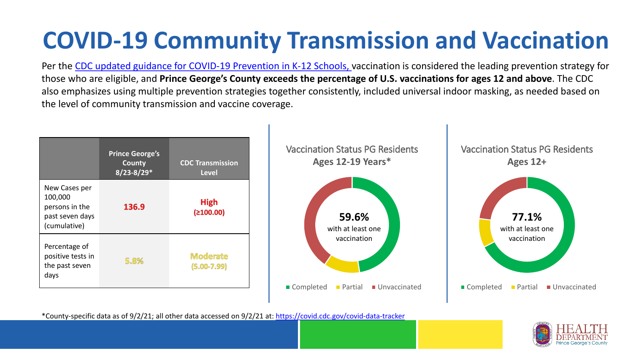# **COVID-19 Community Transmission and Vaccination**

Per the [CDC updated guidance for COVID-19 Prevention in K-12 Schools,](https://www.cdc.gov/coronavirus/2019-ncov/community/schools-childcare/k-12-guidance.html) vaccination is considered the leading prevention strategy for those who are eligible, and **Prince George's County exceeds the percentage of U.S. vaccinations for ages 12 and above**. The CDC also emphasizes using multiple prevention strategies together consistently, included universal indoor masking, as needed based on the level of community transmission and vaccine coverage.



\*County-specific data as of 9/2/21; all other data accessed on 9/2/21 at:<https://covid.cdc.gov/covid-data-tracker>

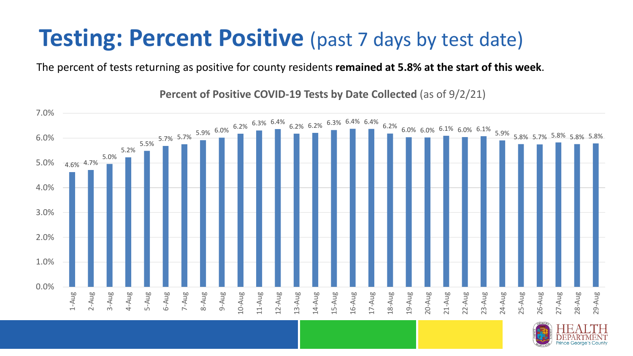### **Testing: Percent Positive** (past 7 days by test date)

The percent of tests returning as positive for county residents **remained at 5.8% at the start of this week**.

4.6% 4.7% 5.0% 5.2%  $5.7\%$   $\begin{array}{@{}lllllllll@{}} 5.7\% & \begin{array}{@{}lllllllllll@{}} 5.7\% & \begin{array}{@{}lllllllllllll@{}} 5.7\% & \begin{array}{@{}lllllllllllllll@{}} 5.7\% & \begin{array}{@{}lllllllllllllllll@{}} 5.7\% & \begin{array}{@{}lllllllllllllllll@{}} 5.7\% & \begin{array}{@{}lllllllllllllllllllll@{}} 5.7\% & \begin{array}{@{}lllllllllllllllllllllllllll@{}} 5.7\% & \begin{array}{@{}$ 0.0% 1.0% 2.0% 3.0% 4.0% 5.0% 6.0% 7.0% 1-Aug 2-Aug 3-Aug 4-Aug 5-Aug 6-Aug 7-Aug 8-Aug 9-Aug 10-Aug 11-Aug 12-Aug 13-Aug 14-Aug 15-Aug 16-Aug 17-Aug 18-Aug 19-Aug 20-Aug 21-Aug 22-Aug 23-Aug 24-Aug 25-Aug 26-Aug 27-Aug 28-Aug 29-Aug

**Percent of Positive COVID-19 Tests by Date Collected** (as of 9/2/21)

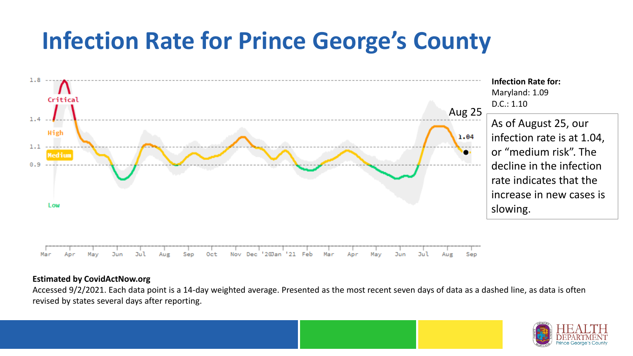## **Infection Rate for Prince George's County**



#### **Estimated by CovidActNow.org**

Accessed 9/2/2021. Each data point is a 14-day weighted average. Presented as the most recent seven days of data as a dashed line, as data is often revised by states several days after reporting.

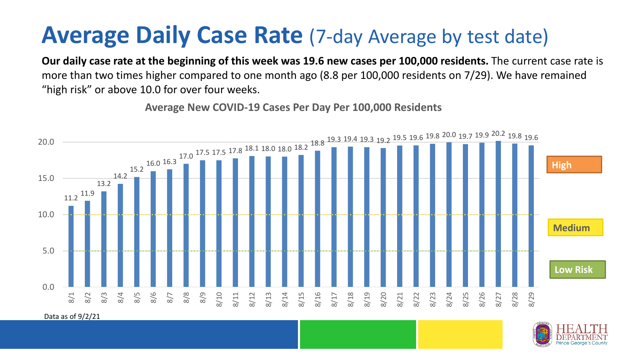### **Average Daily Case Rate** (7-day Average by test date)

**Our daily case rate at the beginning of this week was 19.6 new cases per 100,000 residents.** The current case rate is more than two times higher compared to one month ago (8.8 per 100,000 residents on 7/29). We have remained "high risk" or above 10.0 for over four weeks.

11.2 11.9 13.2 14.2 15.2 16.0 16.3 17.0 17.5 17.5 17.8 18.1 18.0 18.0 18.2 18.8 19.3 19.4 19.3 19.2 19.5 19.6 19.8 20.0 19.7 19.9 20.2 19.8 19.6 0.0 5.0 10.0 15.0 20.0 8/1 8/2 8/3 8/4 8/5 8/6 8/7 8/8 8/9 8/10 8/11 8/12 8/13 8/14 8/15 8/16 8/17 8/18 8/19 8/20 8/21 8/22 8/23 8/24 8/25 8/26 8/27 8/28 8/29 **Low Risk Medium High**

**Average New COVID-19 Cases Per Day Per 100,000 Residents**



Data as of 9/2/21